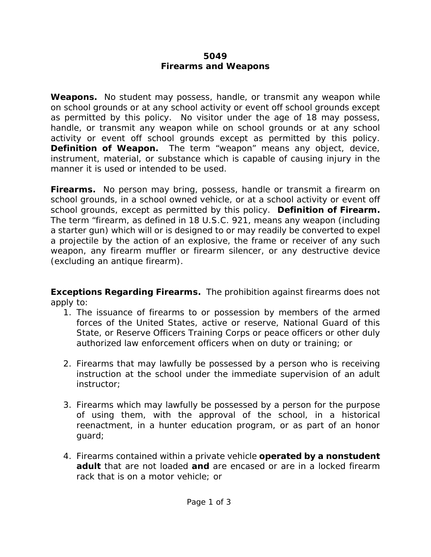## **5049 Firearms and Weapons**

**Weapons.** No student may possess, handle, or transmit any weapon while on school grounds or at any school activity or event off school grounds except as permitted by this policy. No visitor under the age of 18 may possess, handle, or transmit any weapon while on school grounds or at any school activity or event off school grounds except as permitted by this policy. *Definition of Weapon.* The term "weapon" means any object, device, instrument, material, or substance which is capable of causing injury in the manner it is used or intended to be used.

**Firearms.** No person may bring, possess, handle or transmit a firearm on school grounds, in a school owned vehicle, or at a school activity or event off school grounds, except as permitted by this policy. *Definition of Firearm.* The term "firearm, as defined in 18 U.S.C. 921, means any weapon (including a starter gun) which will or is designed to or may readily be converted to expel a projectile by the action of an explosive, the frame or receiver of any such weapon, any firearm muffler or firearm silencer, or any destructive device (excluding an antique firearm).

**Exceptions Regarding Firearms.** The prohibition against firearms does not apply to:

- 1. The issuance of firearms to or possession by members of the armed forces of the United States, active or reserve, National Guard of this State, or Reserve Officers Training Corps or peace officers or other duly authorized law enforcement officers when on duty or training; or
- 2. Firearms that may lawfully be possessed by a person who is receiving instruction at the school under the immediate supervision of an adult instructor;
- 3. Firearms which may lawfully be possessed by a person for the purpose of using them, with the approval of the school, in a historical reenactment, in a hunter education program, or as part of an honor guard;
- 4. Firearms contained within a private vehicle *operated by a nonstudent adult* that are not loaded *and* are encased or are in a locked firearm rack that is on a motor vehicle; or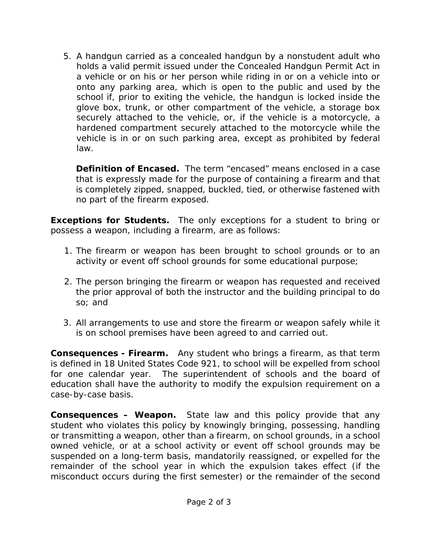5. A handgun carried as a concealed handgun by a nonstudent adult who holds a valid permit issued under the Concealed Handgun Permit Act in a vehicle or on his or her person while riding in or on a vehicle into or onto any parking area, which is open to the public and used by the school if, prior to exiting the vehicle, the handgun is locked inside the glove box, trunk, or other compartment of the vehicle, a storage box securely attached to the vehicle, or, if the vehicle is a motorcycle, a hardened compartment securely attached to the motorcycle while the vehicle is in or on such parking area, except as prohibited by federal law.

**Definition of Encased.** The term "encased" means enclosed in a case that is expressly made for the purpose of containing a firearm and that is completely zipped, snapped, buckled, tied, or otherwise fastened with no part of the firearm exposed.

**Exceptions for Students.** The only exceptions for a student to bring or possess a weapon, including a firearm, are as follows:

- 1. The firearm or weapon has been brought to school grounds or to an activity or event off school grounds for some educational purpose;
- 2. The person bringing the firearm or weapon has requested and received the prior approval of both the instructor and the building principal to do so; and
- 3. All arrangements to use and store the firearm or weapon safely while it is on school premises have been agreed to and carried out.

**Consequences - Firearm.** Any student who brings a firearm, as that term is defined in 18 United States Code 921, to school will be expelled from school for one calendar year. The superintendent of schools and the board of education shall have the authority to modify the expulsion requirement on a case-by-case basis.

**Consequences – Weapon.** State law and this policy provide that any student who violates this policy by knowingly bringing, possessing, handling or transmitting a weapon, other than a firearm, on school grounds, in a school owned vehicle, or at a school activity or event off school grounds may be suspended on a long-term basis, mandatorily reassigned, or expelled for the remainder of the school year in which the expulsion takes effect (if the misconduct occurs during the first semester) or the remainder of the second